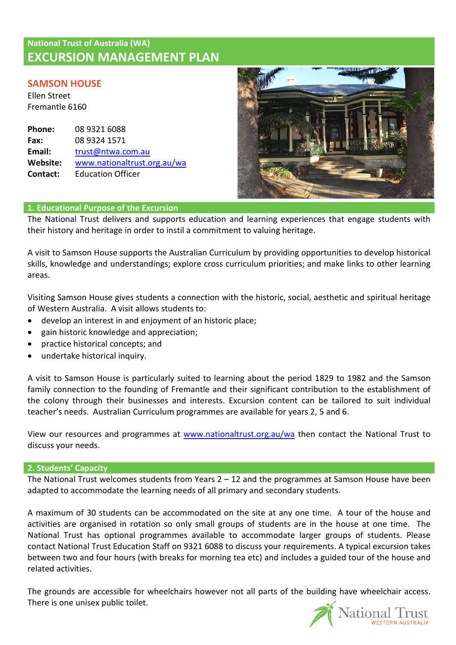# **National Trust of Australia (WA) EXCURSION MANAGEMENT PLAN**

# **SAMSON HOUSE**

Ellen Street Fremantle 6160

| Phone:   | 08 9321 6088                |
|----------|-----------------------------|
| Fax:     | 08 9324 1571                |
| Email:   | trust@ntwa.com.au           |
| Website: | www.nationaltrust.org.au/wa |
| Contact: | <b>Education Officer</b>    |



# **1. Educational Purpose of the Excursion**

The National Trust delivers and supports education and learning experiences that engage students with their history and heritage in order to instil a commitment to valuing heritage.

A visit to Samson House supports the Australian Curriculum by providing opportunities to develop historical skills, knowledge and understandings; explore cross curriculum priorities; and make links to other learning areas.

Visiting Samson House gives students a connection with the historic, social, aesthetic and spiritual heritage of Western Australia. A visit allows students to:

- develop an interest in and enjoyment of an historic place;
- gain historic knowledge and appreciation;
- practice historical concepts; and
- undertake historical inquiry.

A visit to Samson House is particularly suited to learning about the period 1829 to 1982 and the Samson family connection to the founding of Fremantle and their significant contribution to the establishment of the colony through their businesses and interests. Excursion content can be tailored to suit individual teacher's needs. Australian Curriculum programmes are available for years 2, 5 and 6.

View our resources and programmes at [www.nationaltrust.org.au/wa](http://www.valuingheritage.com.au/) then contact the National Trust to discuss your needs.

# **2. Students' Capacity**

The National Trust welcomes students from Years  $2 - 12$  and the programmes at Samson House have been adapted to accommodate the learning needs of all primary and secondary students.

A maximum of 30 students can be accommodated on the site at any one time. A tour of the house and activities are organised in rotation so only small groups of students are in the house at one time. The National Trust has optional programmes available to accommodate larger groups of students. Please contact National Trust Education Staff on 9321 6088 to discuss your requirements. A typical excursion takes between two and four hours (with breaks for morning tea etc) and includes a guided tour of the house and related activities.

The grounds are accessible for wheelchairs however not all parts of the building have wheelchair access. There is one unisex public toilet.

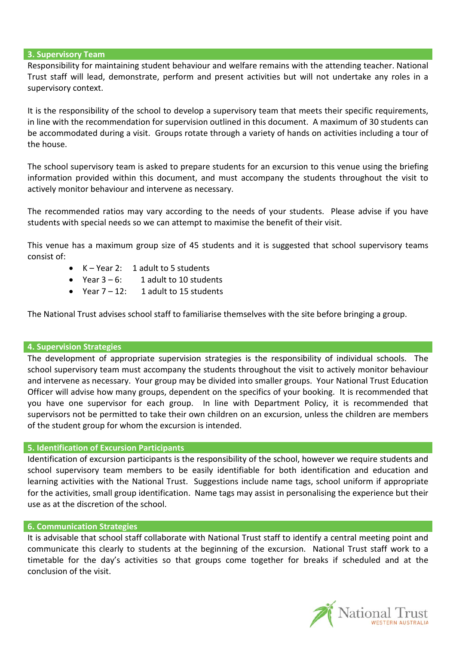#### **3. Supervisory Team**

Responsibility for maintaining student behaviour and welfare remains with the attending teacher. National Trust staff will lead, demonstrate, perform and present activities but will not undertake any roles in a supervisory context.

It is the responsibility of the school to develop a supervisory team that meets their specific requirements, in line with the recommendation for supervision outlined in this document. A maximum of 30 students can be accommodated during a visit. Groups rotate through a variety of hands on activities including a tour of the house.

The school supervisory team is asked to prepare students for an excursion to this venue using the briefing information provided within this document, and must accompany the students throughout the visit to actively monitor behaviour and intervene as necessary.

The recommended ratios may vary according to the needs of your students. Please advise if you have students with special needs so we can attempt to maximise the benefit of their visit.

This venue has a maximum group size of 45 students and it is suggested that school supervisory teams consist of:

- K Year 2: 1 adult to 5 students
- Year  $3 6$ : 1 adult to 10 students
- Year 7 12: 1 adult to 15 students

The National Trust advises school staff to familiarise themselves with the site before bringing a group.

#### **4. Supervision Strategies**

The development of appropriate supervision strategies is the responsibility of individual schools. The school supervisory team must accompany the students throughout the visit to actively monitor behaviour and intervene as necessary. Your group may be divided into smaller groups. Your National Trust Education Officer will advise how many groups, dependent on the specifics of your booking. It is recommended that you have one supervisor for each group. In line with Department Policy, it is recommended that supervisors not be permitted to take their own children on an excursion, unless the children are members of the student group for whom the excursion is intended.

# **5. Identification of Excursion Participants**

Identification of excursion participants is the responsibility of the school, however we require students and school supervisory team members to be easily identifiable for both identification and education and learning activities with the National Trust. Suggestions include name tags, school uniform if appropriate for the activities, small group identification. Name tags may assist in personalising the experience but their use as at the discretion of the school.

#### **6. Communication Strategies**

It is advisable that school staff collaborate with National Trust staff to identify a central meeting point and communicate this clearly to students at the beginning of the excursion. National Trust staff work to a timetable for the day's activities so that groups come together for breaks if scheduled and at the conclusion of the visit.

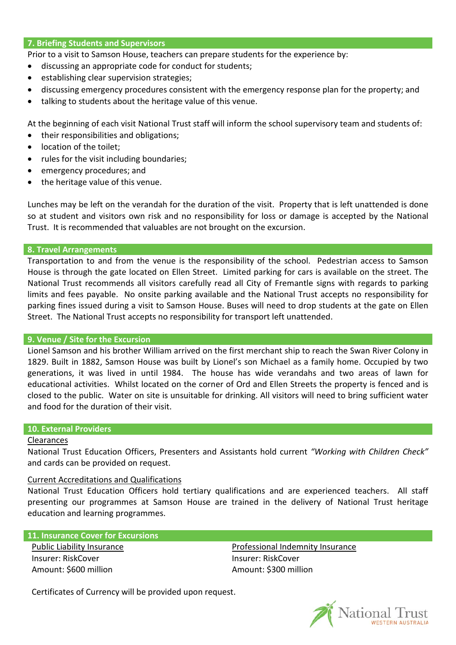### **7. Briefing Students and Supervisors**

Prior to a visit to Samson House, teachers can prepare students for the experience by:

- discussing an appropriate code for conduct for students;
- establishing clear supervision strategies;
- discussing emergency procedures consistent with the emergency response plan for the property; and
- talking to students about the heritage value of this venue.

At the beginning of each visit National Trust staff will inform the school supervisory team and students of:

- their responsibilities and obligations;
- location of the toilet;
- rules for the visit including boundaries;
- emergency procedures; and
- the heritage value of this venue.

Lunches may be left on the verandah for the duration of the visit. Property that is left unattended is done so at student and visitors own risk and no responsibility for loss or damage is accepted by the National Trust. It is recommended that valuables are not brought on the excursion.

### **8. Travel Arrangements**

Transportation to and from the venue is the responsibility of the school. Pedestrian access to Samson House is through the gate located on Ellen Street. Limited parking for cars is available on the street. The National Trust recommends all visitors carefully read all City of Fremantle signs with regards to parking limits and fees payable. No onsite parking available and the National Trust accepts no responsibility for parking fines issued during a visit to Samson House. Buses will need to drop students at the gate on Ellen Street. The National Trust accepts no responsibility for transport left unattended.

### **9. Venue / Site for the Excursion**

Lionel Samson and his brother William arrived on the first merchant ship to reach the Swan River Colony in 1829. Built in 1882, Samson House was built by Lionel's son Michael as a family home. Occupied by two generations, it was lived in until 1984. The house has wide verandahs and two areas of lawn for educational activities. Whilst located on the corner of Ord and Ellen Streets the property is fenced and is closed to the public. Water on site is unsuitable for drinking. All visitors will need to bring sufficient water and food for the duration of their visit.

### **10. External Providers**

#### Clearances

National Trust Education Officers, Presenters and Assistants hold current *"Working with Children Check"*  and cards can be provided on request.

# Current Accreditations and Qualifications

National Trust Education Officers hold tertiary qualifications and are experienced teachers. All staff presenting our programmes at Samson House are trained in the delivery of National Trust heritage education and learning programmes.

# **11. Insurance Cover for Excursions**

Public Liability Insurance Insurer: RiskCover Amount: \$600 million

Professional Indemnity Insurance Insurer: RiskCover Amount: \$300 million

Certificates of Currency will be provided upon request.

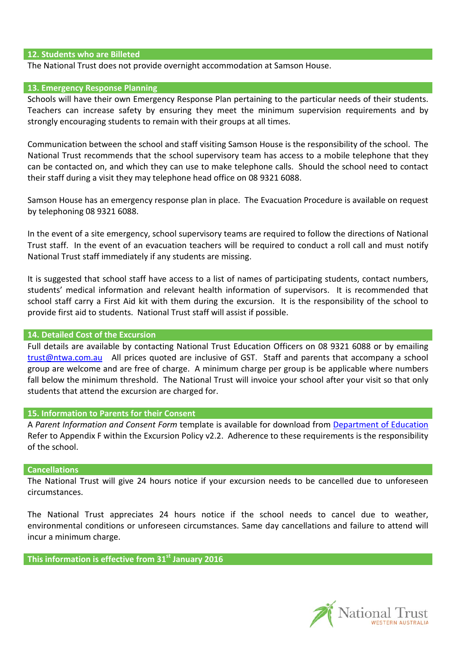### **12. Students who are Billeted**

The National Trust does not provide overnight accommodation at Samson House.

#### **13. Emergency Response Planning**

Schools will have their own Emergency Response Plan pertaining to the particular needs of their students. Teachers can increase safety by ensuring they meet the minimum supervision requirements and by strongly encouraging students to remain with their groups at all times.

Communication between the school and staff visiting Samson House is the responsibility of the school. The National Trust recommends that the school supervisory team has access to a mobile telephone that they can be contacted on, and which they can use to make telephone calls. Should the school need to contact their staff during a visit they may telephone head office on 08 9321 6088.

Samson House has an emergency response plan in place. The Evacuation Procedure is available on request by telephoning 08 9321 6088.

In the event of a site emergency, school supervisory teams are required to follow the directions of National Trust staff. In the event of an evacuation teachers will be required to conduct a roll call and must notify National Trust staff immediately if any students are missing.

It is suggested that school staff have access to a list of names of participating students, contact numbers, students' medical information and relevant health information of supervisors. It is recommended that school staff carry a First Aid kit with them during the excursion. It is the responsibility of the school to provide first aid to students. National Trust staff will assist if possible.

### **14. Detailed Cost of the Excursion**

Full details are available by contacting National Trust Education Officers on 08 9321 6088 or by emailing [trust@ntwa.com.au](mailto:trust@ntwa.com.au) All prices quoted are inclusive of GST. Staff and parents that accompany a school group are welcome and are free of charge. A minimum charge per group is be applicable where numbers fall below the minimum threshold. The National Trust will invoice your school after your visit so that only students that attend the excursion are charged for.

#### **15. Information to Parents for their Consent**

A *Parent Information and Consent Form* template is available for download from [Department of Education](http://det.wa.edu.au/policies/detcms/policy-planning-and-accountability/policies-framework/policies/excursions-policy-and-procedures.en?cat-id=3457100) Refer to Appendix F within the Excursion Policy v2.2. Adherence to these requirements is the responsibility of the school.

#### **Cancellations**

The National Trust will give 24 hours notice if your excursion needs to be cancelled due to unforeseen circumstances.

The National Trust appreciates 24 hours notice if the school needs to cancel due to weather, environmental conditions or unforeseen circumstances. Same day cancellations and failure to attend will incur a minimum charge.

**This information is effective from 31st January 2016**